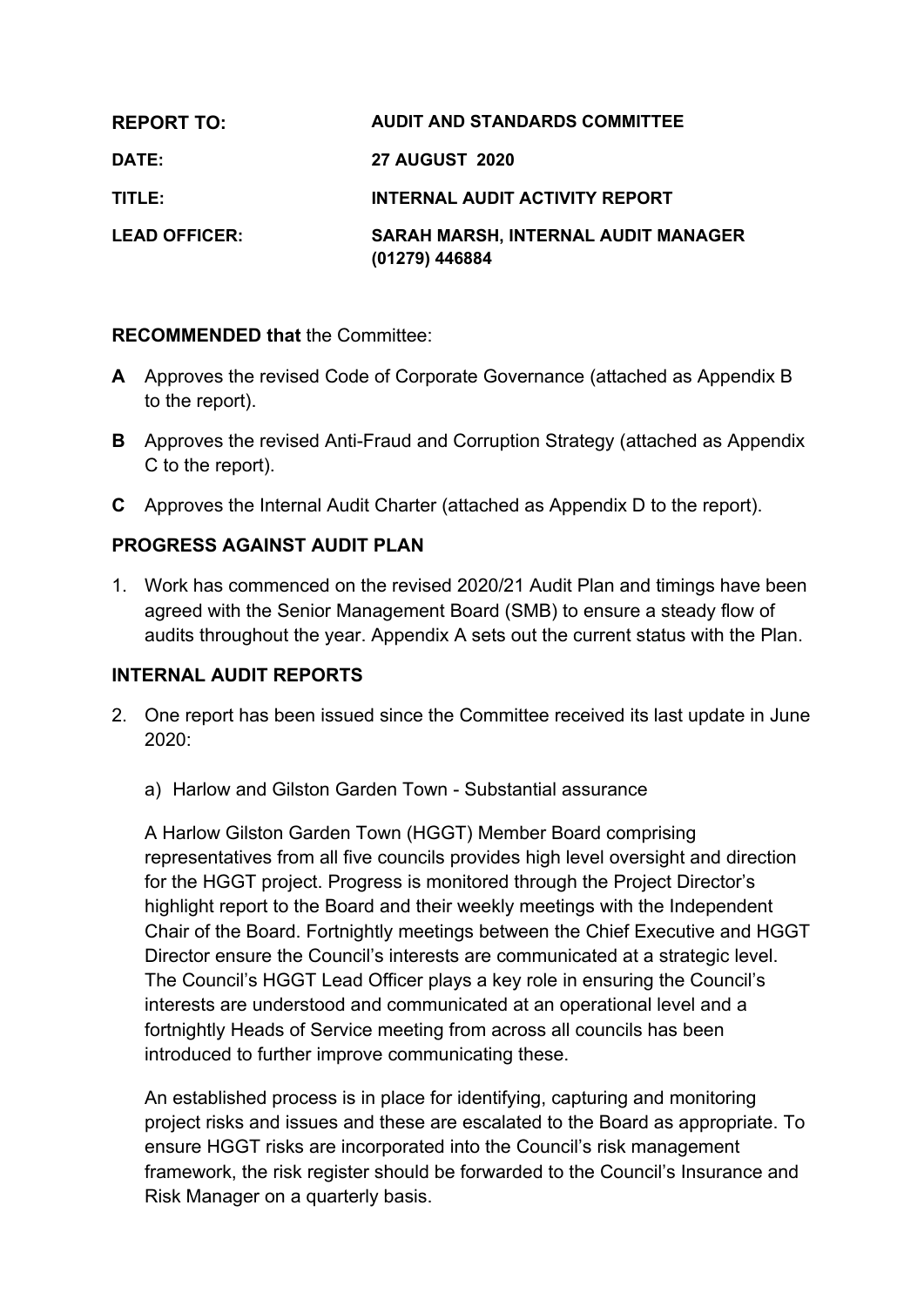| <b>REPORT TO:</b>    | <b>AUDIT AND STANDARDS COMMITTEE</b>                         |
|----------------------|--------------------------------------------------------------|
| DATE:                | <b>27 AUGUST 2020</b>                                        |
| TITLE:               | <b>INTERNAL AUDIT ACTIVITY REPORT</b>                        |
| <b>LEAD OFFICER:</b> | <b>SARAH MARSH, INTERNAL AUDIT MANAGER</b><br>(01279) 446884 |

#### **RECOMMENDED that** the Committee:

- **A** Approves the revised Code of Corporate Governance (attached as Appendix B to the report).
- **B** Approves the revised Anti-Fraud and Corruption Strategy (attached as Appendix C to the report).
- **C** Approves the Internal Audit Charter (attached as Appendix D to the report).

# **PROGRESS AGAINST AUDIT PLAN**

1. Work has commenced on the revised 2020/21 Audit Plan and timings have been agreed with the Senior Management Board (SMB) to ensure a steady flow of audits throughout the year. Appendix A sets out the current status with the Plan.

## **INTERNAL AUDIT REPORTS**

- 2. One report has been issued since the Committee received its last update in June 2020:
	- a) Harlow and Gilston Garden Town Substantial assurance

A Harlow Gilston Garden Town (HGGT) Member Board comprising representatives from all five councils provides high level oversight and direction for the HGGT project. Progress is monitored through the Project Director's highlight report to the Board and their weekly meetings with the Independent Chair of the Board. Fortnightly meetings between the Chief Executive and HGGT Director ensure the Council's interests are communicated at a strategic level. The Council's HGGT Lead Officer plays a key role in ensuring the Council's interests are understood and communicated at an operational level and a fortnightly Heads of Service meeting from across all councils has been introduced to further improve communicating these.

An established process is in place for identifying, capturing and monitoring project risks and issues and these are escalated to the Board as appropriate. To ensure HGGT risks are incorporated into the Council's risk management framework, the risk register should be forwarded to the Council's Insurance and Risk Manager on a quarterly basis.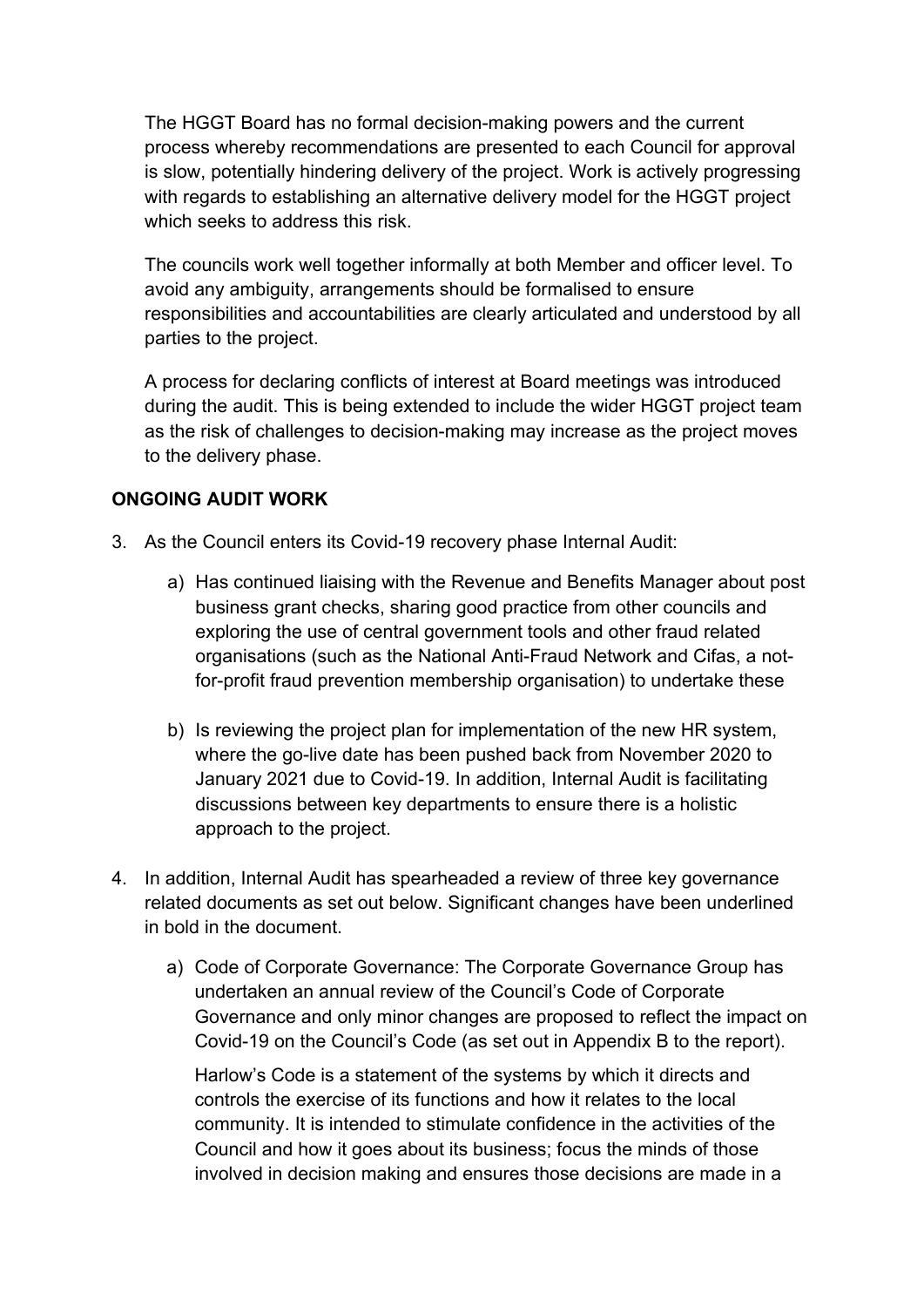The HGGT Board has no formal decision-making powers and the current process whereby recommendations are presented to each Council for approval is slow, potentially hindering delivery of the project. Work is actively progressing with regards to establishing an alternative delivery model for the HGGT project which seeks to address this risk.

The councils work well together informally at both Member and officer level. To avoid any ambiguity, arrangements should be formalised to ensure responsibilities and accountabilities are clearly articulated and understood by all parties to the project.

A process for declaring conflicts of interest at Board meetings was introduced during the audit. This is being extended to include the wider HGGT project team as the risk of challenges to decision-making may increase as the project moves to the delivery phase.

## **ONGOING AUDIT WORK**

- 3. As the Council enters its Covid-19 recovery phase Internal Audit:
	- a) Has continued liaising with the Revenue and Benefits Manager about post business grant checks, sharing good practice from other councils and exploring the use of central government tools and other fraud related organisations (such as the National Anti-Fraud Network and Cifas, a notfor-profit fraud prevention membership organisation) to undertake these
	- b) Is reviewing the project plan for implementation of the new HR system, where the go-live date has been pushed back from November 2020 to January 2021 due to Covid-19. In addition, Internal Audit is facilitating discussions between key departments to ensure there is a holistic approach to the project.
- 4. In addition, Internal Audit has spearheaded a review of three key governance related documents as set out below. Significant changes have been underlined in bold in the document.
	- a) Code of Corporate Governance: The Corporate Governance Group has undertaken an annual review of the Council's Code of Corporate Governance and only minor changes are proposed to reflect the impact on Covid-19 on the Council's Code (as set out in Appendix B to the report).

Harlow's Code is a statement of the systems by which it directs and controls the exercise of its functions and how it relates to the local community. It is intended to stimulate confidence in the activities of the Council and how it goes about its business; focus the minds of those involved in decision making and ensures those decisions are made in a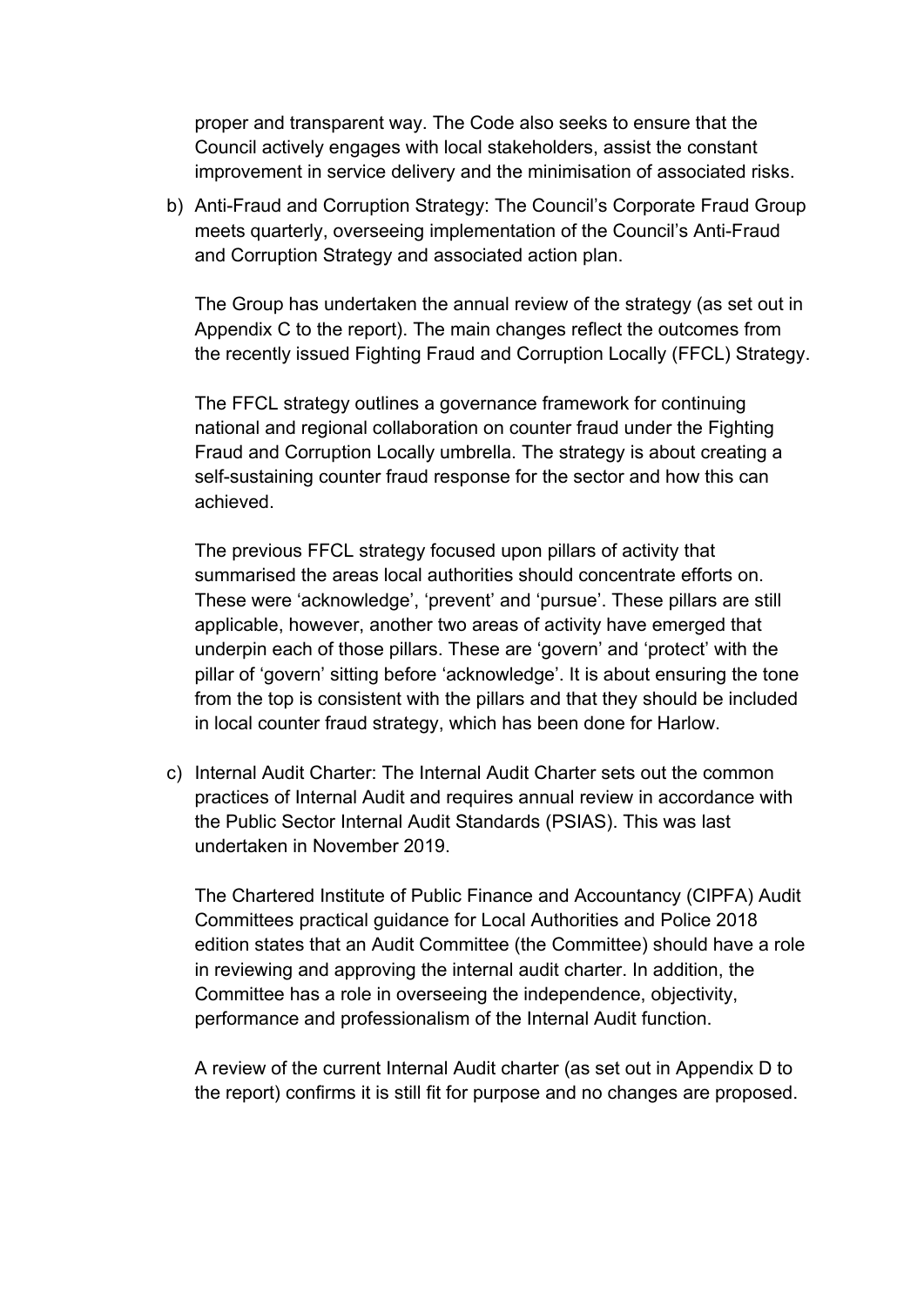proper and transparent way. The Code also seeks to ensure that the Council actively engages with local stakeholders, assist the constant improvement in service delivery and the minimisation of associated risks.

b) Anti-Fraud and Corruption Strategy: The Council's Corporate Fraud Group meets quarterly, overseeing implementation of the Council's Anti-Fraud and Corruption Strategy and associated action plan.

The Group has undertaken the annual review of the strategy (as set out in Appendix C to the report). The main changes reflect the outcomes from the recently issued Fighting Fraud and Corruption Locally (FFCL) Strategy.

The FFCL strategy outlines a governance framework for continuing national and regional collaboration on counter fraud under the Fighting Fraud and Corruption Locally umbrella. The strategy is about creating a self-sustaining counter fraud response for the sector and how this can achieved.

The previous FFCL strategy focused upon pillars of activity that summarised the areas local authorities should concentrate efforts on. These were 'acknowledge', 'prevent' and 'pursue'. These pillars are still applicable, however, another two areas of activity have emerged that underpin each of those pillars. These are 'govern' and 'protect' with the pillar of 'govern' sitting before 'acknowledge'. It is about ensuring the tone from the top is consistent with the pillars and that they should be included in local counter fraud strategy, which has been done for Harlow.

c) Internal Audit Charter: The Internal Audit Charter sets out the common practices of Internal Audit and requires annual review in accordance with the Public Sector Internal Audit Standards (PSIAS). This was last undertaken in November 2019.

The Chartered Institute of Public Finance and Accountancy (CIPFA) Audit Committees practical guidance for Local Authorities and Police 2018 edition states that an Audit Committee (the Committee) should have a role in reviewing and approving the internal audit charter. In addition, the Committee has a role in overseeing the independence, objectivity, performance and professionalism of the Internal Audit function.

A review of the current Internal Audit charter (as set out in Appendix D to the report) confirms it is still fit for purpose and no changes are proposed.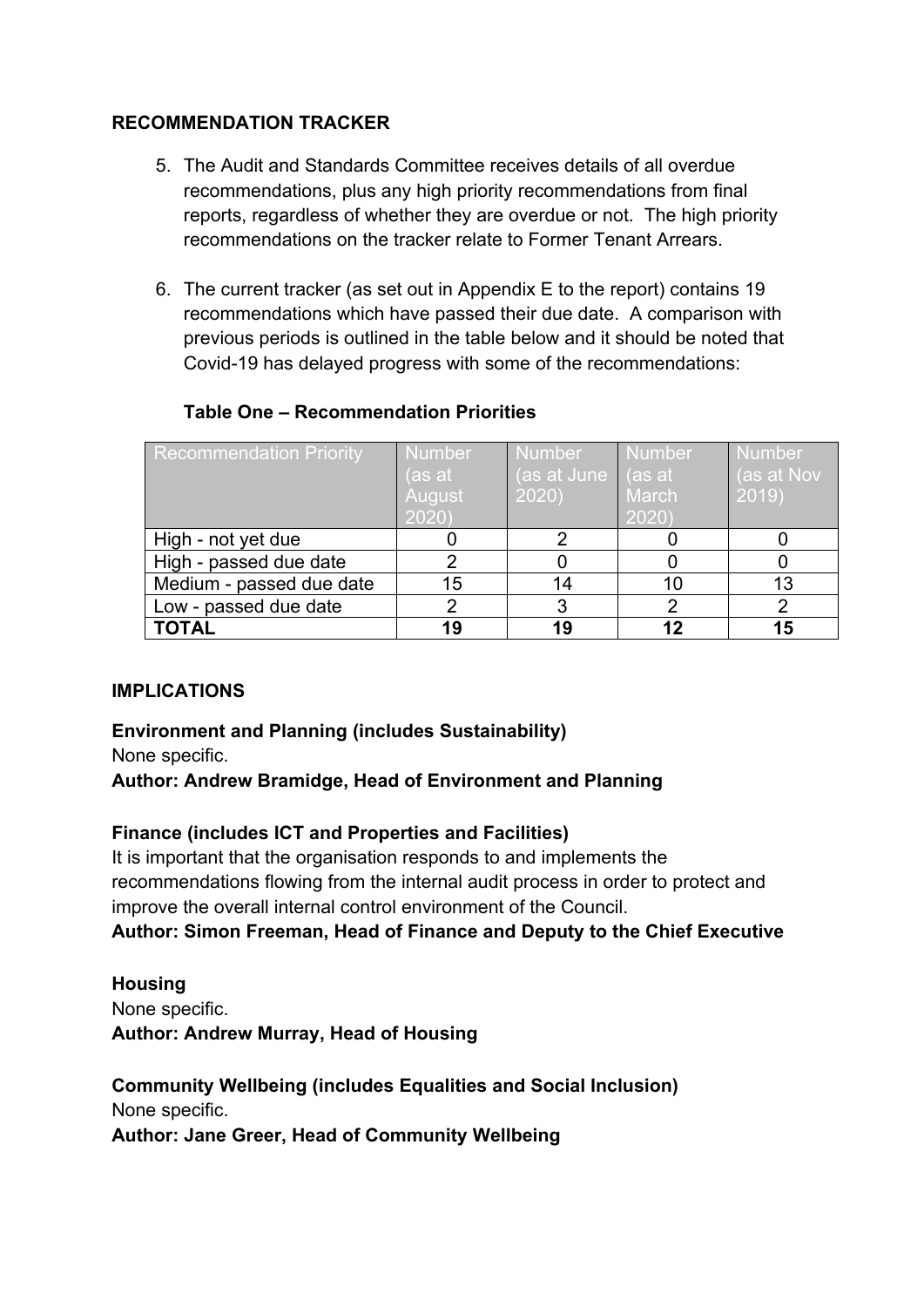## **RECOMMENDATION TRACKER**

- 5. The Audit and Standards Committee receives details of all overdue recommendations, plus any high priority recommendations from final reports, regardless of whether they are overdue or not. The high priority recommendations on the tracker relate to Former Tenant Arrears.
- 6. The current tracker (as set out in Appendix E to the report) contains 19 recommendations which have passed their due date. A comparison with previous periods is outlined in the table below and it should be noted that Covid-19 has delayed progress with some of the recommendations:

## **Table One – Recommendation Priorities**

| <b>Recommendation Priority</b> | <b>Number</b><br>(as at | <b>Number</b><br>(as at June<br>2020) | <b>Number</b><br>$ $ (as at<br>March | <b>Number</b><br>(as at Nov<br>2019) |
|--------------------------------|-------------------------|---------------------------------------|--------------------------------------|--------------------------------------|
|                                | August<br>2020)         |                                       | 2020)                                |                                      |
| High - not yet due             |                         |                                       |                                      |                                      |
| High - passed due date         |                         |                                       |                                      |                                      |
| Medium - passed due date       | 15                      | 14                                    | 10                                   | 13                                   |
| Low - passed due date          |                         |                                       |                                      |                                      |
| <b>TOTAL</b>                   | 19                      | 19                                    |                                      | 15                                   |

# **IMPLICATIONS**

# **Environment and Planning (includes Sustainability)**

None specific.

# **Author: Andrew Bramidge, Head of Environment and Planning**

## **Finance (includes ICT and Properties and Facilities)**

It is important that the organisation responds to and implements the recommendations flowing from the internal audit process in order to protect and improve the overall internal control environment of the Council.

# **Author: Simon Freeman, Head of Finance and Deputy to the Chief Executive**

#### **Housing** None specific. **Author: Andrew Murray, Head of Housing**

## **Community Wellbeing (includes Equalities and Social Inclusion)** None specific. **Author: Jane Greer, Head of Community Wellbeing**